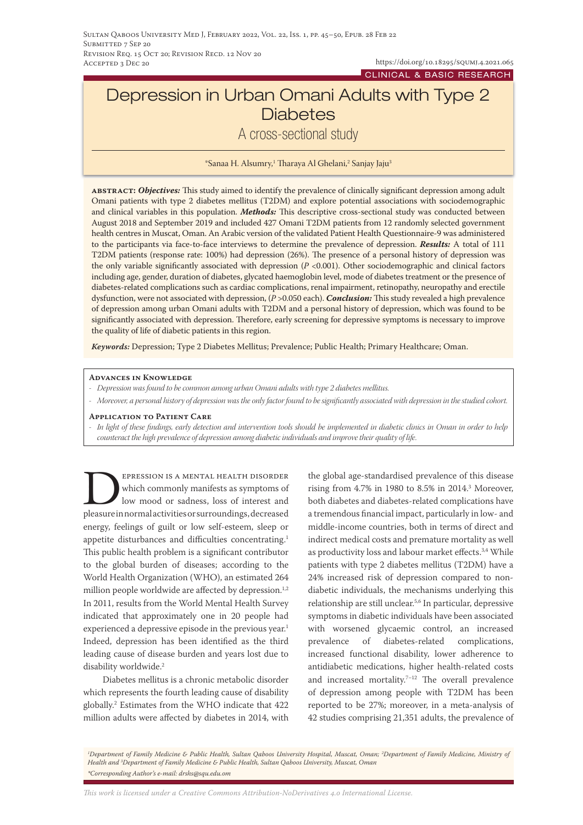https://doi.org/10.18295/squmj.4.2021.065 CLINICAL & BASIC RESEARCH

# Depression in Urban Omani Adults with Type 2 **Diabetes**

# A cross-sectional study

\*Sanaa H. Alsumry,<sup>1</sup> Tharaya Al Ghelani,<sup>2</sup> Sanjay Jaju<sup>3</sup>

**abstract:** *Objectives:* This study aimed to identify the prevalence of clinically significant depression among adult Omani patients with type 2 diabetes mellitus (T2DM) and explore potential associations with sociodemographic and clinical variables in this population. *Methods:* This descriptive cross-sectional study was conducted between August 2018 and September 2019 and included 427 Omani T2DM patients from 12 randomly selected government health centres in Muscat, Oman. An Arabic version of the validated Patient Health Questionnaire-9 was administered to the participants via face-to-face interviews to determine the prevalence of depression. *Results:* A total of 111 T2DM patients (response rate: 100%) had depression (26%). The presence of a personal history of depression was the only variable significantly associated with depression (*P* <0.001). Other sociodemographic and clinical factors including age, gender, duration of diabetes, glycated haemoglobin level, mode of diabetes treatment or the presence of diabetes-related complications such as cardiac complications, renal impairment, retinopathy, neuropathy and erectile dysfunction, were not associated with depression, (*P* >0.050 each). *Conclusion:* This study revealed a high prevalence of depression among urban Omani adults with T2DM and a personal history of depression, which was found to be significantly associated with depression. Therefore, early screening for depressive symptoms is necessary to improve the quality of life of diabetic patients in this region.

*Keywords:* Depression; Type 2 Diabetes Mellitus; Prevalence; Public Health; Primary Healthcare; Oman.

#### **Advances in Knowledge**

- *- Depression was found to be common among urban Omani adults with type 2 diabetes mellitus.*
- *- Moreover, a personal history of depression was the only factor found to be significantly associated with depression in the studied cohort.*

#### **Application to Patient Care**

*- In light of these findings, early detection and intervention tools should be implemented in diabetic clinics in Oman in order to help counteract the high prevalence of depression among diabetic individuals and improve their quality of life.*

EPRESSION IS A MENTAL HEALTH DISORDER which commonly manifests as symptoms of low mood or sadness, loss of interest and pleasure in normal activities or surroundings, decreased energy, feelings of guilt or low self-esteem, sleep or appetite disturbances and difficulties concentrating.<sup>1</sup> This public health problem is a significant contributor to the global burden of diseases; according to the World Health Organization (WHO), an estimated 264 million people worldwide are affected by depression.<sup>1,2</sup> In 2011, results from the World Mental Health Survey indicated that approximately one in 20 people had experienced a depressive episode in the previous year.<sup>1</sup> Indeed, depression has been identified as the third leading cause of disease burden and years lost due to disability worldwide.<sup>2</sup>

Diabetes mellitus is a chronic metabolic disorder which represents the fourth leading cause of disability globally.2 Estimates from the WHO indicate that 422 million adults were affected by diabetes in 2014, with

the global age-standardised prevalence of this disease rising from 4.7% in 1980 to 8.5% in 2014.3 Moreover, both diabetes and diabetes-related complications have a tremendous financial impact, particularly in low- and middle-income countries, both in terms of direct and indirect medical costs and premature mortality as well as productivity loss and labour market effects.<sup>3,4</sup> While patients with type 2 diabetes mellitus (T2DM) have a 24% increased risk of depression compared to nondiabetic individuals, the mechanisms underlying this relationship are still unclear.5,6 In particular, depressive symptoms in diabetic individuals have been associated with worsened glycaemic control, an increased prevalence of diabetes-related complications, increased functional disability, lower adherence to antidiabetic medications, higher health-related costs and increased mortality.<sup>7-12</sup> The overall prevalence of depression among people with T2DM has been reported to be 27%; moreover, in a meta-analysis of 42 studies comprising 21,351 adults, the prevalence of

*This work is licensed under a [Creative Commons Attribution-NoDerivatives 4.0 International License.](https://creativecommons.org/licenses/by-nd/4.0/)*

*<sup>1</sup> Department of Family Medicine & Public Health, Sultan Qaboos University Hospital, Muscat, Oman; 2 Department of Family Medicine, Ministry of Health and 3 Department of Family Medicine & Public Health, Sultan Qaboos University, Muscat, Oman \*Corresponding Author's e-mail: drshs@squ.edu.om*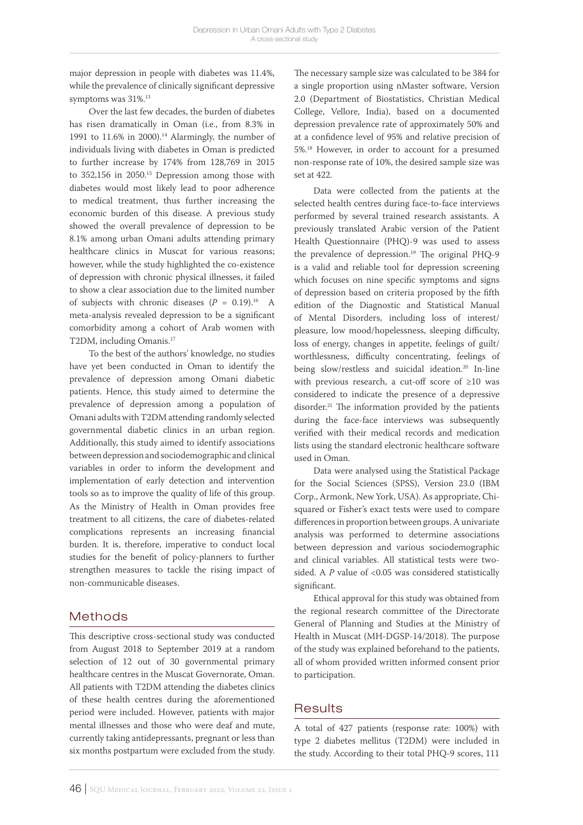major depression in people with diabetes was 11.4%, while the prevalence of clinically significant depressive symptoms was 31%.13

Over the last few decades, the burden of diabetes has risen dramatically in Oman (i.e., from 8.3% in 1991 to  $11.6\%$  in 2000).<sup>14</sup> Alarmingly, the number of individuals living with diabetes in Oman is predicted to further increase by 174% from 128,769 in 2015 to 352,156 in 2050.<sup>15</sup> Depression among those with diabetes would most likely lead to poor adherence to medical treatment, thus further increasing the economic burden of this disease. A previous study showed the overall prevalence of depression to be 8.1% among urban Omani adults attending primary healthcare clinics in Muscat for various reasons; however, while the study highlighted the co-existence of depression with chronic physical illnesses, it failed to show a clear association due to the limited number of subjects with chronic diseases  $(P = 0.19).$ <sup>16</sup> A meta-analysis revealed depression to be a significant comorbidity among a cohort of Arab women with T2DM, including Omanis.17

To the best of the authors' knowledge, no studies have yet been conducted in Oman to identify the prevalence of depression among Omani diabetic patients. Hence, this study aimed to determine the prevalence of depression among a population of Omani adults with T2DM attending randomly selected governmental diabetic clinics in an urban region. Additionally, this study aimed to identify associations between depression and sociodemographic and clinical variables in order to inform the development and implementation of early detection and intervention tools so as to improve the quality of life of this group. As the Ministry of Health in Oman provides free treatment to all citizens, the care of diabetes-related complications represents an increasing financial burden. It is, therefore, imperative to conduct local studies for the benefit of policy-planners to further strengthen measures to tackle the rising impact of non-communicable diseases.

# Methods

This descriptive cross-sectional study was conducted from August 2018 to September 2019 at a random selection of 12 out of 30 governmental primary healthcare centres in the Muscat Governorate, Oman. All patients with T2DM attending the diabetes clinics of these health centres during the aforementioned period were included. However, patients with major mental illnesses and those who were deaf and mute, currently taking antidepressants, pregnant or less than six months postpartum were excluded from the study.

The necessary sample size was calculated to be 384 for a single proportion using nMaster software, Version 2.0 (Department of Biostatistics, Christian Medical College, Vellore, India), based on a documented depression prevalence rate of approximately 50% and at a confidence level of 95% and relative precision of 5%.18 However, in order to account for a presumed non-response rate of 10%, the desired sample size was set at 422.

Data were collected from the patients at the selected health centres during face-to-face interviews performed by several trained research assistants. A previously translated Arabic version of the Patient Health Questionnaire (PHQ)-9 was used to assess the prevalence of depression.<sup>19</sup> The original PHQ-9 is a valid and reliable tool for depression screening which focuses on nine specific symptoms and signs of depression based on criteria proposed by the fifth edition of the Diagnostic and Statistical Manual of Mental Disorders, including loss of interest/ pleasure, low mood/hopelessness, sleeping difficulty, loss of energy, changes in appetite, feelings of guilt/ worthlessness, difficulty concentrating, feelings of being slow/restless and suicidal ideation.<sup>20</sup> In-line with previous research, a cut-off score of ≥10 was considered to indicate the presence of a depressive disorder.21 The information provided by the patients during the face-face interviews was subsequently verified with their medical records and medication lists using the standard electronic healthcare software used in Oman.

Data were analysed using the Statistical Package for the Social Sciences (SPSS), Version 23.0 (IBM Corp., Armonk, New York, USA). As appropriate, Chisquared or Fisher's exact tests were used to compare differences in proportion between groups. A univariate analysis was performed to determine associations between depression and various sociodemographic and clinical variables. All statistical tests were twosided. A *P* value of <0.05 was considered statistically significant.

Ethical approval for this study was obtained from the regional research committee of the Directorate General of Planning and Studies at the Ministry of Health in Muscat (MH-DGSP-14/2018). The purpose of the study was explained beforehand to the patients, all of whom provided written informed consent prior to participation.

# **Results**

A total of 427 patients (response rate: 100%) with type 2 diabetes mellitus (T2DM) were included in the study. According to their total PHQ-9 scores, 111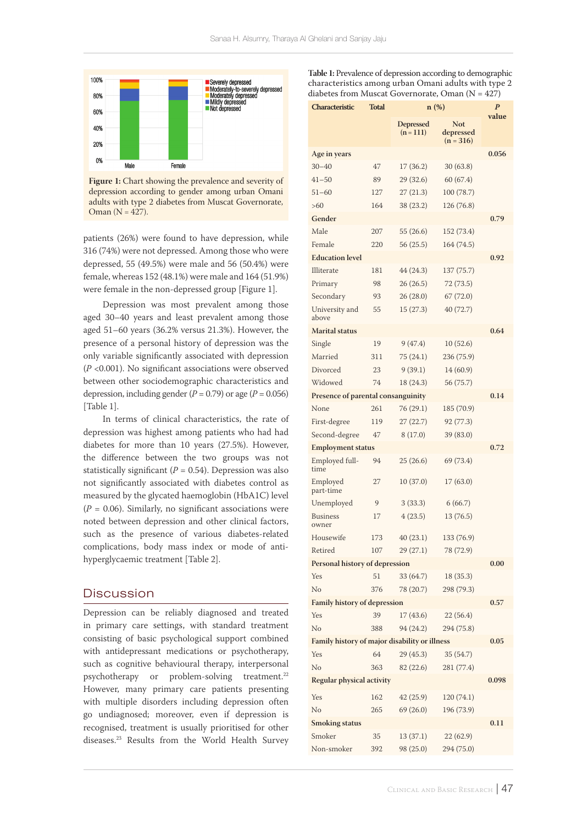

**Figure 1:** Chart showing the prevalence and severity of depression according to gender among urban Omani adults with type 2 diabetes from Muscat Governorate, Oman  $(N = 427)$ .

patients (26%) were found to have depression, while 316 (74%) were not depressed. Among those who were depressed, 55 (49.5%) were male and 56 (50.4%) were female, whereas 152 (48.1%) were male and 164 (51.9%) were female in the non-depressed group [Figure 1].

Depression was most prevalent among those aged 30–40 years and least prevalent among those aged 51–60 years (36.2% versus 21.3%). However, the presence of a personal history of depression was the only variable significantly associated with depression (*P* <0.001). No significant associations were observed between other sociodemographic characteristics and depression, including gender  $(P = 0.79)$  or age  $(P = 0.056)$ [Table 1].

In terms of clinical characteristics, the rate of depression was highest among patients who had had diabetes for more than 10 years (27.5%). However, the difference between the two groups was not statistically significant  $(P = 0.54)$ . Depression was also not significantly associated with diabetes control as measured by the glycated haemoglobin (HbA1C) level  $(P = 0.06)$ . Similarly, no significant associations were noted between depression and other clinical factors, such as the presence of various diabetes-related complications, body mass index or mode of antihyperglycaemic treatment [Table 2].

## **Discussion**

Depression can be reliably diagnosed and treated in primary care settings, with standard treatment consisting of basic psychological support combined with antidepressant medications or psychotherapy, such as cognitive behavioural therapy, interpersonal psychotherapy or problem-solving treatment.<sup>22</sup> However, many primary care patients presenting with multiple disorders including depression often go undiagnosed; moreover, even if depression is recognised, treatment is usually prioritised for other diseases.23 Results from the World Health Survey **Table 1:** Prevalence of depression according to demographic characteristics among urban Omani adults with type 2 diabetes from Muscat Governorate, Oman  $(N = 427)$ 

| Characteristic                                | <b>Total</b> | n(%)                            | $\boldsymbol{P}$                       |       |  |  |  |
|-----------------------------------------------|--------------|---------------------------------|----------------------------------------|-------|--|--|--|
|                                               |              | <b>Depressed</b><br>$(n = 111)$ | <b>Not</b><br>depressed<br>$(n = 316)$ | value |  |  |  |
| Age in years                                  |              |                                 |                                        | 0.056 |  |  |  |
| $30 - 40$                                     | 47           | 17(36.2)                        | 30(63.8)                               |       |  |  |  |
| $41 - 50$                                     | 89           | 29(32.6)                        | 60 (67.4)                              |       |  |  |  |
| $51 - 60$                                     | 127          | 27(21.3)                        | 100 (78.7)                             |       |  |  |  |
| >60                                           | 164          | 38 (23.2)                       | 126 (76.8)                             |       |  |  |  |
| Gender                                        |              |                                 |                                        | 0.79  |  |  |  |
| Male                                          | 207          | 55 (26.6)                       | 152 (73.4)                             |       |  |  |  |
| Female                                        | 220          | 56 (25.5)                       | 164 (74.5)                             |       |  |  |  |
| <b>Education level</b>                        |              |                                 |                                        | 0.92  |  |  |  |
| Illiterate                                    | 181          | 44 (24.3)                       | 137 (75.7)                             |       |  |  |  |
| Primary                                       | 98           | 26(26.5)                        | 72(73.5)                               |       |  |  |  |
| Secondary                                     | 93           | 26(28.0)                        | 67 (72.0)                              |       |  |  |  |
| University and<br>above                       | 55           | 15(27.3)                        | 40 (72.7)                              |       |  |  |  |
| <b>Marital</b> status                         |              |                                 |                                        | 0.64  |  |  |  |
| Single                                        | 19           | 9(47.4)                         | 10(52.6)                               |       |  |  |  |
| Married                                       | 311          | 75 (24.1)                       | 236 (75.9)                             |       |  |  |  |
| Divorced                                      | 23           | 9(39.1)                         | 14 (60.9)                              |       |  |  |  |
| Widowed                                       | 74           | 18 (24.3)                       | 56 (75.7)                              |       |  |  |  |
| Presence of parental consanguinity<br>0.14    |              |                                 |                                        |       |  |  |  |
| None                                          | 261          | 76(29.1)                        | 185 (70.9)                             |       |  |  |  |
| First-degree                                  | 119          | 27(22.7)                        | 92 (77.3)                              |       |  |  |  |
| Second-degree                                 | 47           | 8(17.0)                         | 39 (83.0)                              |       |  |  |  |
| <b>Employment status</b>                      |              |                                 |                                        |       |  |  |  |
| Employed full-<br>time                        | 94           | 25(26.6)                        | 69 (73.4)                              | 0.72  |  |  |  |
| Employed<br>part-time                         | 27           | 10(37.0)                        | 17(63.0)                               |       |  |  |  |
| Unemployed                                    | 9            | 3(33.3)                         | 6(66.7)                                |       |  |  |  |
| <b>Business</b><br>owner                      | 17           | 4(23.5)                         | 13 (76.5)                              |       |  |  |  |
| Housewife                                     | 173          | 40(23.1)                        | 133 (76.9)                             |       |  |  |  |
| Retired                                       | 107          | 29(27.1)                        | 78 (72.9)                              |       |  |  |  |
| Personal history of depression                |              |                                 |                                        | 0.00  |  |  |  |
| Yes                                           | 51           | 33 (64.7)                       | 18(35.3)                               |       |  |  |  |
| No                                            | 376          | 78 (20.7)                       | 298 (79.3)                             |       |  |  |  |
| <b>Family history of depression</b>           |              |                                 |                                        | 0.57  |  |  |  |
| Yes                                           | 39           | 17(43.6)                        | 22(56.4)                               |       |  |  |  |
| No                                            | 388          | 94 (24.2)                       | 294 (75.8)                             | 0.05  |  |  |  |
| Family history of major disability or illness |              |                                 |                                        |       |  |  |  |
| Yes                                           | 64           | 29(45.3)                        | 35(54.7)                               |       |  |  |  |
| No                                            | 363          | 82 (22.6)                       | 281 (77.4)                             |       |  |  |  |
| Regular physical activity                     | 0.098        |                                 |                                        |       |  |  |  |
| Yes                                           | 162          | 42(25.9)                        | 120(74.1)                              |       |  |  |  |
| No                                            | 265          | 69(26.0)                        | 196 (73.9)                             |       |  |  |  |
| <b>Smoking status</b>                         |              |                                 |                                        | 0.11  |  |  |  |
| Smoker                                        | 35           | 13(37.1)                        | 22(62.9)                               |       |  |  |  |
| Non-smoker                                    | 392          | 98 (25.0)                       | 294 (75.0)                             |       |  |  |  |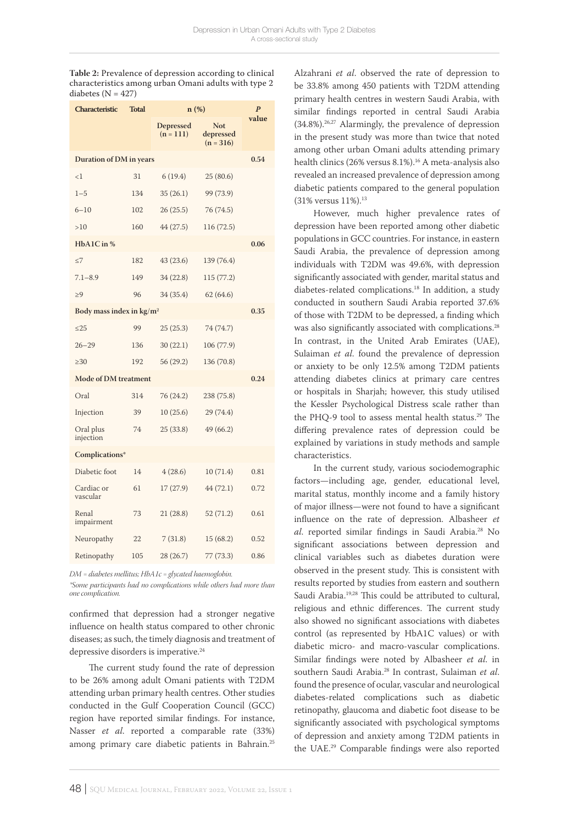**Table 2:** Prevalence of depression according to clinical characteristics among urban Omani adults with type 2 diabetes  $(N = 427)$ 

| Characteristic                            | <b>Total</b> | $n(\%)$                         | $\boldsymbol{P}$                       |       |  |
|-------------------------------------------|--------------|---------------------------------|----------------------------------------|-------|--|
|                                           |              | <b>Depressed</b><br>$(n = 111)$ | <b>Not</b><br>depressed<br>$(n = 316)$ | value |  |
| Duration of DM in years                   |              |                                 |                                        |       |  |
| $\leq$ 1                                  | 31           | 6(19.4)                         | 25(80.6)                               |       |  |
| $1 - 5$                                   | 134          | 35(26.1)                        | 99 (73.9)                              |       |  |
| $6 - 10$                                  | 102          | 26(25.5)                        | 76 (74.5)                              |       |  |
| >10                                       | 160          | 44(27.5)                        | 116 (72.5)                             |       |  |
| HbA1C in %                                |              |                                 |                                        | 0.06  |  |
| $\leq$ 7                                  | 182          | 43(23.6)                        | 139 (76.4)                             |       |  |
| $7.1 - 8.9$                               | 149          | 34 (22.8)                       | 115 (77.2)                             |       |  |
| $\geq 9$                                  | 96           | 34 (35.4)                       | 62(64.6)                               |       |  |
| Body mass index in $\text{kg}/\text{m}^2$ |              |                                 |                                        |       |  |
| < 25                                      | 99           | 25(25.3)                        | 74 (74.7)                              |       |  |
| $26 - 29$                                 | 136          | 30 (22.1)                       | 106 (77.9)                             |       |  |
| >30                                       | 192          | 56 (29.2)                       | 136 (70.8)                             |       |  |
| <b>Mode of DM treatment</b><br>0.24       |              |                                 |                                        |       |  |
| Oral                                      | 314          | 76 (24.2)                       | 238 (75.8)                             |       |  |
| Injection                                 | 39           | 10(25.6)                        | 29 (74.4)                              |       |  |
| Oral plus<br>injection                    | 74           | 25(33.8)                        | 49 (66.2)                              |       |  |
| Complications*                            |              |                                 |                                        |       |  |
| Diabetic foot                             | 14           | 4(28.6)                         | 10(71.4)                               | 0.81  |  |
| Cardiac or<br>vascular                    | 61           | 17(27.9)                        | 44(72.1)                               | 0.72  |  |
| Renal<br>impairment                       | 73           | 21(28.8)                        | 52 (71.2)                              | 0.61  |  |
| Neuropathy                                | 22           | 7(31.8)                         | 15(68.2)                               | 0.52  |  |
| Retinopathy                               | 105          | 28 (26.7)                       | 77 (73.3)                              | 0.86  |  |

*DM = diabetes mellitus; HbA1c = glycated haemoglobin.*

*\*Some participants had no complications while others had more than one complication.* 

confirmed that depression had a stronger negative influence on health status compared to other chronic diseases; as such, the timely diagnosis and treatment of depressive disorders is imperative.24

The current study found the rate of depression to be 26% among adult Omani patients with T2DM attending urban primary health centres. Other studies conducted in the Gulf Cooperation Council (GCC) region have reported similar findings. For instance, Nasser *et al*. reported a comparable rate (33%) among primary care diabetic patients in Bahrain.<sup>25</sup>

Alzahrani *et al*. observed the rate of depression to be 33.8% among 450 patients with T2DM attending primary health centres in western Saudi Arabia, with similar findings reported in central Saudi Arabia (34.8%).26,27 Alarmingly, the prevalence of depression in the present study was more than twice that noted among other urban Omani adults attending primary health clinics (26% versus 8.1%).<sup>16</sup> A meta-analysis also revealed an increased prevalence of depression among diabetic patients compared to the general population (31% versus 11%).13

However, much higher prevalence rates of depression have been reported among other diabetic populations in GCC countries. For instance, in eastern Saudi Arabia, the prevalence of depression among individuals with T2DM was 49.6%, with depression significantly associated with gender, marital status and diabetes-related complications.18 In addition, a study conducted in southern Saudi Arabia reported 37.6% of those with T2DM to be depressed, a finding which was also significantly associated with complications.<sup>28</sup> In contrast, in the United Arab Emirates (UAE), Sulaiman *et al*. found the prevalence of depression or anxiety to be only 12.5% among T2DM patients attending diabetes clinics at primary care centres or hospitals in Sharjah; however, this study utilised the Kessler Psychological Distress scale rather than the PHQ-9 tool to assess mental health status.<sup>29</sup> The differing prevalence rates of depression could be explained by variations in study methods and sample characteristics.

In the current study, various sociodemographic factors—including age, gender, educational level, marital status, monthly income and a family history of major illness—were not found to have a significant influence on the rate of depression. Albasheer *et al*. reported similar findings in Saudi Arabia.28 No significant associations between depression and clinical variables such as diabetes duration were observed in the present study. This is consistent with results reported by studies from eastern and southern Saudi Arabia.<sup>19,28</sup> This could be attributed to cultural, religious and ethnic differences. The current study also showed no significant associations with diabetes control (as represented by HbA1C values) or with diabetic micro- and macro-vascular complications. Similar findings were noted by Albasheer *et al*. in southern Saudi Arabia.28 In contrast, Sulaiman *et al*. found the presence of ocular, vascular and neurological diabetes-related complications such as diabetic retinopathy, glaucoma and diabetic foot disease to be significantly associated with psychological symptoms of depression and anxiety among T2DM patients in the UAE.29 Comparable findings were also reported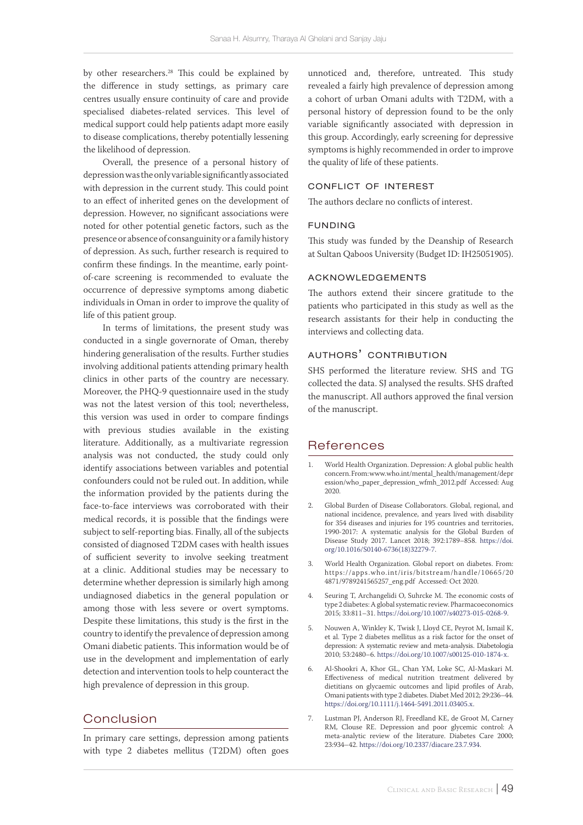by other researchers.<sup>28</sup> This could be explained by the difference in study settings, as primary care centres usually ensure continuity of care and provide specialised diabetes-related services. This level of medical support could help patients adapt more easily to disease complications, thereby potentially lessening the likelihood of depression.

Overall, the presence of a personal history of depression was the only variable significantly associated with depression in the current study. This could point to an effect of inherited genes on the development of depression. However, no significant associations were noted for other potential genetic factors, such as the presence or absence of consanguinity or a family history of depression. As such, further research is required to confirm these findings. In the meantime, early pointof-care screening is recommended to evaluate the occurrence of depressive symptoms among diabetic individuals in Oman in order to improve the quality of life of this patient group.

In terms of limitations, the present study was conducted in a single governorate of Oman, thereby hindering generalisation of the results. Further studies involving additional patients attending primary health clinics in other parts of the country are necessary. Moreover, the PHQ-9 questionnaire used in the study was not the latest version of this tool; nevertheless, this version was used in order to compare findings with previous studies available in the existing literature. Additionally, as a multivariate regression analysis was not conducted, the study could only identify associations between variables and potential confounders could not be ruled out. In addition, while the information provided by the patients during the face-to-face interviews was corroborated with their medical records, it is possible that the findings were subject to self-reporting bias. Finally, all of the subjects consisted of diagnosed T2DM cases with health issues of sufficient severity to involve seeking treatment at a clinic. Additional studies may be necessary to determine whether depression is similarly high among undiagnosed diabetics in the general population or among those with less severe or overt symptoms. Despite these limitations, this study is the first in the country to identify the prevalence of depression among Omani diabetic patients. This information would be of use in the development and implementation of early detection and intervention tools to help counteract the high prevalence of depression in this group.

# Conclusion

In primary care settings, depression among patients with type 2 diabetes mellitus (T2DM) often goes unnoticed and, therefore, untreated. This study revealed a fairly high prevalence of depression among a cohort of urban Omani adults with T2DM, with a personal history of depression found to be the only variable significantly associated with depression in this group. Accordingly, early screening for depressive symptoms is highly recommended in order to improve the quality of life of these patients.

# conflict of interest

The authors declare no conflicts of interest.

#### funding

This study was funded by the Deanship of Research at Sultan Qaboos University (Budget ID: IH25051905).

#### acknowledgements

The authors extend their sincere gratitude to the patients who participated in this study as well as the research assistants for their help in conducting the interviews and collecting data.

### authors' contribution

SHS performed the literature review. SHS and TG collected the data. SJ analysed the results. SHS drafted the manuscript. All authors approved the final version of the manuscript.

# References

- 1. World Health Organization. Depression: A global public health concern. From: www.who.int/mental\_health/management/depr ession/who\_paper\_depression\_wfmh\_2012.pdf Accessed: Aug 2020.
- 2. Global Burden of Disease Collaborators. Global, regional, and national incidence, prevalence, and years lived with disability for 354 diseases and injuries for 195 countries and territories, 1990-2017: A systematic analysis for the Global Burden of Disease Study 2017. Lancet 2018; 392:1789–858. [https://doi.](https://doi.org/10.1016/S0140-6736(18)32279-7) [org/10.1016/S0140-6736\(18\)32279-7](https://doi.org/10.1016/S0140-6736(18)32279-7).
- 3. World Health Organization. Global report on diabetes. From: https://apps.who.int/iris/bitstream/handle/10665/20 4871/9789241565257\_eng.pdf Accessed: Oct 2020.
- 4. Seuring T, Archangelidi O, Suhrcke M. The economic costs of type 2 diabetes: A global systematic review. Pharmacoeconomics 2015; 33:811–31. [https://doi.org/10.1007/s40273-015-0268-9.](https://doi.org/10.1007/s40273-015-0268-9)
- 5. Nouwen A, Winkley K, Twisk J, Lloyd CE, Peyrot M, Ismail K, et al. Type 2 diabetes mellitus as a risk factor for the onset of depression: A systematic review and meta-analysis. Diabetologia 2010; 53:2480–6.<https://doi.org/10.1007/s00125-010-1874-x>.
- 6. Al-Shookri A, Khor GL, Chan YM, Loke SC, Al-Maskari M. Effectiveness of medical nutrition treatment delivered by dietitians on glycaemic outcomes and lipid profiles of Arab, Omani patients with type 2 diabetes. Diabet Med 2012; 29:236–44. [https://doi.org/10.1111/j.1464-5491.2011.03405.x.](https://doi.org/10.1111/j.1464-5491.2011.03405.x)
- 7. Lustman PJ, Anderson RJ, Freedland KE, de Groot M, Carney RM, Clouse RE. Depression and poor glycemic control: A meta-analytic review of the literature. Diabetes Care 2000; 23:934–42. [https://doi.org/10.2337/diacare.23.7.934.](https://doi.org/10.2337/diacare.23.7.934)